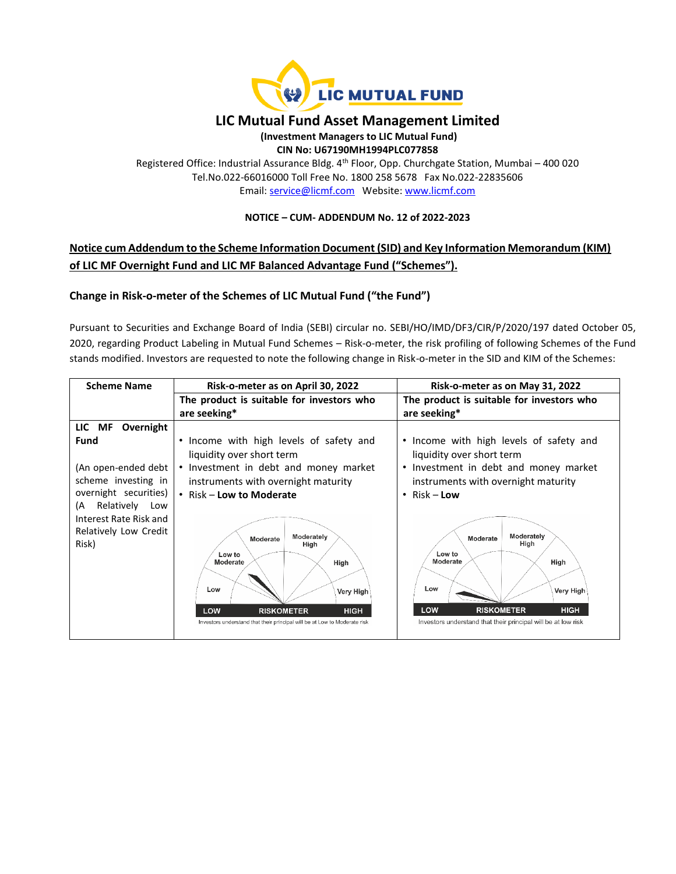

# **LIC Mutual Fund Asset Management Limited**

#### **(Investment Managers to LIC Mutual Fund) CIN No: U67190MH1994PLC077858**

Registered Office: Industrial Assurance Bldg. 4<sup>th</sup> Floor, Opp. Churchgate Station, Mumbai - 400 020 Tel.No.022-66016000 Toll Free No. 1800 258 5678 Fax No.022-22835606 Email: [service@licmf.com](mailto:service@licnomuramf.com) Website: [www.licmf.com](http://www.licnomuramf.com/)

### **NOTICE – CUM- ADDENDUM No. 12 of 2022-2023**

# **Notice cum Addendum to the Scheme Information Document (SID) and Key Information Memorandum (KIM) of LIC MF Overnight Fund and LIC MF Balanced Advantage Fund ("Schemes").**

## **Change in Risk-o-meter of the Schemes of LIC Mutual Fund ("the Fund")**

Pursuant to Securities and Exchange Board of India (SEBI) circular no. SEBI/HO/IMD/DF3/CIR/P/2020/197 dated October 05, 2020, regarding Product Labeling in Mutual Fund Schemes – Risk-o-meter, the risk profiling of following Schemes of the Fund stands modified. Investors are requested to note the following change in Risk-o-meter in the SID and KIM of the Schemes:

| <b>Scheme Name</b>                                                                                                                                              | Risk-o-meter as on April 30, 2022                                                                                                                                                                                                                                                                                                                                                            | Risk-o-meter as on May 31, 2022                                                                                                                                                                                                                                                                                                                                                                   |
|-----------------------------------------------------------------------------------------------------------------------------------------------------------------|----------------------------------------------------------------------------------------------------------------------------------------------------------------------------------------------------------------------------------------------------------------------------------------------------------------------------------------------------------------------------------------------|---------------------------------------------------------------------------------------------------------------------------------------------------------------------------------------------------------------------------------------------------------------------------------------------------------------------------------------------------------------------------------------------------|
|                                                                                                                                                                 | The product is suitable for investors who                                                                                                                                                                                                                                                                                                                                                    | The product is suitable for investors who                                                                                                                                                                                                                                                                                                                                                         |
|                                                                                                                                                                 | are seeking*                                                                                                                                                                                                                                                                                                                                                                                 | are seeking*                                                                                                                                                                                                                                                                                                                                                                                      |
| LIC MF<br>Overnight                                                                                                                                             |                                                                                                                                                                                                                                                                                                                                                                                              |                                                                                                                                                                                                                                                                                                                                                                                                   |
| Fund<br>(An open-ended debt<br>scheme investing in<br>overnight securities)<br>Relatively Low<br>(A<br>Interest Rate Risk and<br>Relatively Low Credit<br>Risk) | • Income with high levels of safety and<br>liquidity over short term<br>• Investment in debt and money market<br>instruments with overnight maturity<br>• Risk – Low to Moderate<br>Moderately<br>Moderate<br>High<br>Low to<br>Moderate<br>High<br>Low<br>Very High<br>LOW<br><b>HIGH</b><br><b>RISKOMETER</b><br>Investors understand that their principal will be at Low to Moderate risk | • Income with high levels of safety and<br>liquidity over short term<br>Investment in debt and money market<br>$\bullet$<br>instruments with overnight maturity<br>Risk – <b>Low</b><br>$\bullet$<br>Moderately<br>Moderate<br>High<br>Low to<br>Moderate<br>High<br>Low<br>Very High<br>LOW<br><b>HIGH</b><br><b>RISKOMETER</b><br>Investors understand that their principal will be at low risk |